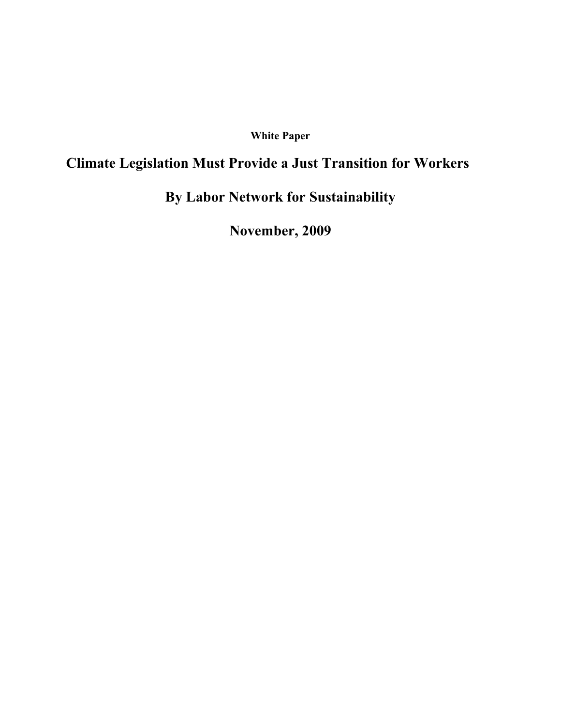### **White Paper**

# **Climate Legislation Must Provide a Just Transition for Workers**

# **By Labor Network for Sustainability**

**November, 2009**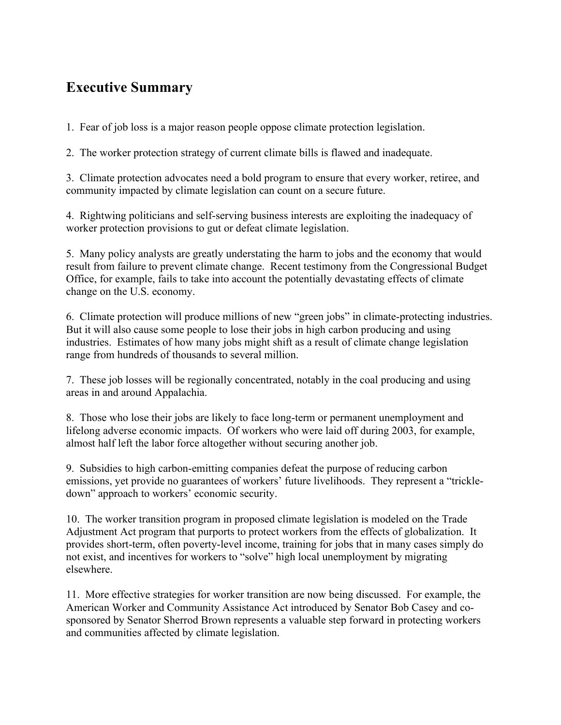# **Executive Summary**

1. Fear of job loss is a major reason people oppose climate protection legislation.

2. The worker protection strategy of current climate bills is flawed and inadequate.

3. Climate protection advocates need a bold program to ensure that every worker, retiree, and community impacted by climate legislation can count on a secure future.

4. Rightwing politicians and self-serving business interests are exploiting the inadequacy of worker protection provisions to gut or defeat climate legislation.

5. Many policy analysts are greatly understating the harm to jobs and the economy that would result from failure to prevent climate change. Recent testimony from the Congressional Budget Office, for example, fails to take into account the potentially devastating effects of climate change on the U.S. economy.

6. Climate protection will produce millions of new "green jobs" in climate-protecting industries. But it will also cause some people to lose their jobs in high carbon producing and using industries. Estimates of how many jobs might shift as a result of climate change legislation range from hundreds of thousands to several million.

7. These job losses will be regionally concentrated, notably in the coal producing and using areas in and around Appalachia.

8. Those who lose their jobs are likely to face long-term or permanent unemployment and lifelong adverse economic impacts. Of workers who were laid off during 2003, for example, almost half left the labor force altogether without securing another job.

9. Subsidies to high carbon-emitting companies defeat the purpose of reducing carbon emissions, yet provide no guarantees of workers' future livelihoods. They represent a "trickledown" approach to workers' economic security.

10. The worker transition program in proposed climate legislation is modeled on the Trade Adjustment Act program that purports to protect workers from the effects of globalization. It provides short-term, often poverty-level income, training for jobs that in many cases simply do not exist, and incentives for workers to "solve" high local unemployment by migrating elsewhere.

11. More effective strategies for worker transition are now being discussed. For example, the American Worker and Community Assistance Act introduced by Senator Bob Casey and cosponsored by Senator Sherrod Brown represents a valuable step forward in protecting workers and communities affected by climate legislation.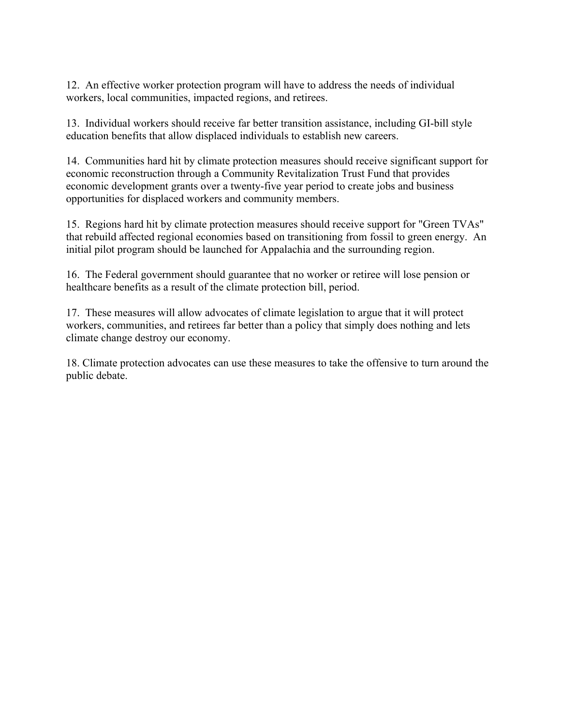12. An effective worker protection program will have to address the needs of individual workers, local communities, impacted regions, and retirees.

13. Individual workers should receive far better transition assistance, including GI-bill style education benefits that allow displaced individuals to establish new careers.

14. Communities hard hit by climate protection measures should receive significant support for economic reconstruction through a Community Revitalization Trust Fund that provides economic development grants over a twenty-five year period to create jobs and business opportunities for displaced workers and community members.

15. Regions hard hit by climate protection measures should receive support for "Green TVAs" that rebuild affected regional economies based on transitioning from fossil to green energy. An initial pilot program should be launched for Appalachia and the surrounding region.

16. The Federal government should guarantee that no worker or retiree will lose pension or healthcare benefits as a result of the climate protection bill, period.

17. These measures will allow advocates of climate legislation to argue that it will protect workers, communities, and retirees far better than a policy that simply does nothing and lets climate change destroy our economy.

18. Climate protection advocates can use these measures to take the offensive to turn around the public debate.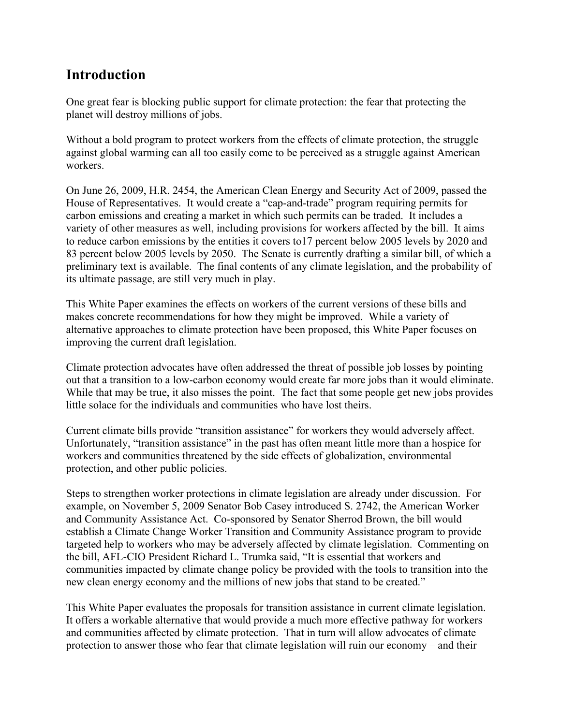### **Introduction**

One great fear is blocking public support for climate protection: the fear that protecting the planet will destroy millions of jobs.

Without a bold program to protect workers from the effects of climate protection, the struggle against global warming can all too easily come to be perceived as a struggle against American workers.

On June 26, 2009, H.R. 2454, the American Clean Energy and Security Act of 2009, passed the House of Representatives. It would create a "cap-and-trade" program requiring permits for carbon emissions and creating a market in which such permits can be traded. It includes a variety of other measures as well, including provisions for workers affected by the bill. It aims to reduce carbon emissions by the entities it covers to17 percent below 2005 levels by 2020 and 83 percent below 2005 levels by 2050. The Senate is currently drafting a similar bill, of which a preliminary text is available. The final contents of any climate legislation, and the probability of its ultimate passage, are still very much in play.

This White Paper examines the effects on workers of the current versions of these bills and makes concrete recommendations for how they might be improved. While a variety of alternative approaches to climate protection have been proposed, this White Paper focuses on improving the current draft legislation.

Climate protection advocates have often addressed the threat of possible job losses by pointing out that a transition to a low-carbon economy would create far more jobs than it would eliminate. While that may be true, it also misses the point. The fact that some people get new jobs provides little solace for the individuals and communities who have lost theirs.

Current climate bills provide "transition assistance" for workers they would adversely affect. Unfortunately, "transition assistance" in the past has often meant little more than a hospice for workers and communities threatened by the side effects of globalization, environmental protection, and other public policies.

Steps to strengthen worker protections in climate legislation are already under discussion. For example, on November 5, 2009 Senator Bob Casey introduced S. 2742, the American Worker and Community Assistance Act. Co-sponsored by Senator Sherrod Brown, the bill would establish a Climate Change Worker Transition and Community Assistance program to provide targeted help to workers who may be adversely affected by climate legislation. Commenting on the bill, AFL-CIO President Richard L. Trumka said, "It is essential that workers and communities impacted by climate change policy be provided with the tools to transition into the new clean energy economy and the millions of new jobs that stand to be created."

This White Paper evaluates the proposals for transition assistance in current climate legislation. It offers a workable alternative that would provide a much more effective pathway for workers and communities affected by climate protection. That in turn will allow advocates of climate protection to answer those who fear that climate legislation will ruin our economy – and their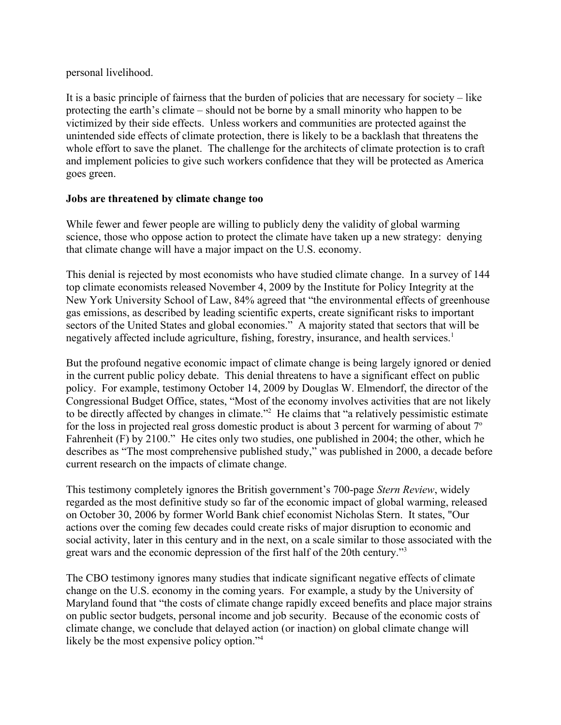#### personal livelihood.

It is a basic principle of fairness that the burden of policies that are necessary for society – like protecting the earth's climate – should not be borne by a small minority who happen to be victimized by their side effects. Unless workers and communities are protected against the unintended side effects of climate protection, there is likely to be a backlash that threatens the whole effort to save the planet. The challenge for the architects of climate protection is to craft and implement policies to give such workers confidence that they will be protected as America goes green.

### **Jobs are threatened by climate change too**

While fewer and fewer people are willing to publicly deny the validity of global warming science, those who oppose action to protect the climate have taken up a new strategy: denying that climate change will have a major impact on the U.S. economy.

This denial is rejected by most economists who have studied climate change. In a survey of 144 top climate economists released November 4, 2009 by the Institute for Policy Integrity at the New York University School of Law, 84% agreed that "the environmental effects of greenhouse gas emissions, as described by leading scientific experts, create significant risks to important sectors of the United States and global economies." A majority stated that sectors that will be negatively affected include agriculture, fishing, forestry, insurance, and health services.<sup>[1](#page-19-0)</sup>

But the profound negative economic impact of climate change is being largely ignored or denied in the current public policy debate. This denial threatens to have a significant effect on public policy. For example, testimony October 14, 2009 by Douglas W. Elmendorf, the director of the Congressional Budget Office, states, "Most of the economy involves activities that are not likely to be directly affected by changes in climate."<sup>[2](#page-19-1)</sup> He claims that "a relatively pessimistic estimate for the loss in projected real gross domestic product is about 3 percent for warming of about  $7^\circ$ Fahrenheit (F) by 2100." He cites only two studies, one published in 2004; the other, which he describes as "The most comprehensive published study," was published in 2000, a decade before current research on the impacts of climate change.

This testimony completely ignores the British government's 700-page *Stern Review*, widely regarded as the most definitive study so far of the economic impact of global warming, released on October 30, 2006 by former World Bank chief economist Nicholas Stern. It states, "Our actions over the coming few decades could create risks of major disruption to economic and social activity, later in this century and in the next, on a scale similar to those associated with the great wars and the economic depression of the first half of the 20th century."[3](#page-19-2)

The CBO testimony ignores many studies that indicate significant negative effects of climate change on the U.S. economy in the coming years. For example, a study by the University of Maryland found that "the costs of climate change rapidly exceed benefits and place major strains on public sector budgets, personal income and job security. Because of the economic costs of climate change, we conclude that delayed action (or inaction) on global climate change will likely be the most expensive policy option."<sup>[4](#page-19-3)</sup>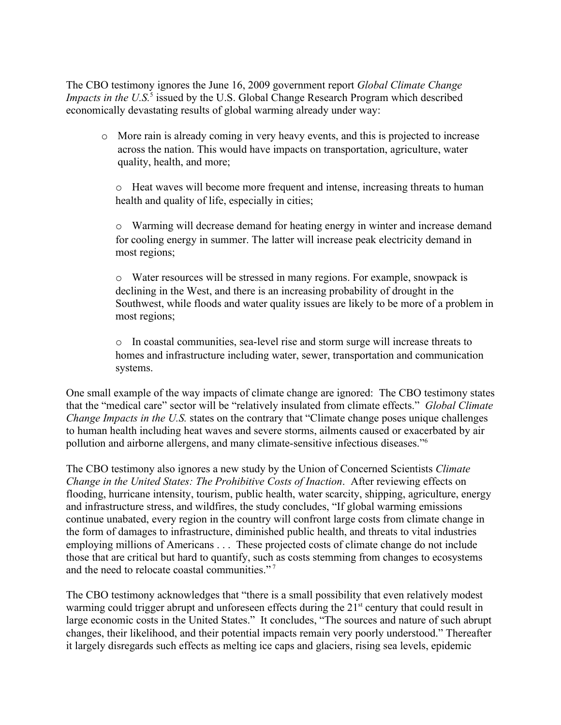The CBO testimony ignores the June 16, 2009 government report *Global Climate Change* Impacts in the U.S.<sup>[5](#page-19-4)</sup> issued by the U.S. Global Change Research Program which described economically devastating results of global warming already under way:

o More rain is already coming in very heavy events, and this is projected to increase across the nation. This would have impacts on transportation, agriculture, water quality, health, and more;

o Heat waves will become more frequent and intense, increasing threats to human health and quality of life, especially in cities;

o Warming will decrease demand for heating energy in winter and increase demand for cooling energy in summer. The latter will increase peak electricity demand in most regions;

o Water resources will be stressed in many regions. For example, snowpack is declining in the West, and there is an increasing probability of drought in the Southwest, while floods and water quality issues are likely to be more of a problem in most regions;

o In coastal communities, sea-level rise and storm surge will increase threats to homes and infrastructure including water, sewer, transportation and communication systems.

One small example of the way impacts of climate change are ignored: The CBO testimony states that the "medical care" sector will be "relatively insulated from climate effects." *Global Climate Change Impacts in the U.S.* states on the contrary that "Climate change poses unique challenges" to human health including heat waves and severe storms, ailments caused or exacerbated by air pollution and airborne allergens, and many climate-sensitive infectious diseases." [6](#page-19-5)

The CBO testimony also ignores a new study by the Union of Concerned Scientists *Climate Change in the United States: The Prohibitive Costs of Inaction*. After reviewing effects on flooding, hurricane intensity, tourism, public health, water scarcity, shipping, agriculture, energy and infrastructure stress, and wildfires, the study concludes, "If global warming emissions continue unabated, every region in the country will confront large costs from climate change in the form of damages to infrastructure, diminished public health, and threats to vital industries employing millions of Americans . . . These projected costs of climate change do not include those that are critical but hard to quantify, such as costs stemming from changes to ecosystems and the need to relocate coastal communities."<sup>[7](#page-19-6)</sup>

The CBO testimony acknowledges that "there is a small possibility that even relatively modest warming could trigger abrupt and unforeseen effects during the 21<sup>st</sup> century that could result in large economic costs in the United States." It concludes, "The sources and nature of such abrupt changes, their likelihood, and their potential impacts remain very poorly understood." Thereafter it largely disregards such effects as melting ice caps and glaciers, rising sea levels, epidemic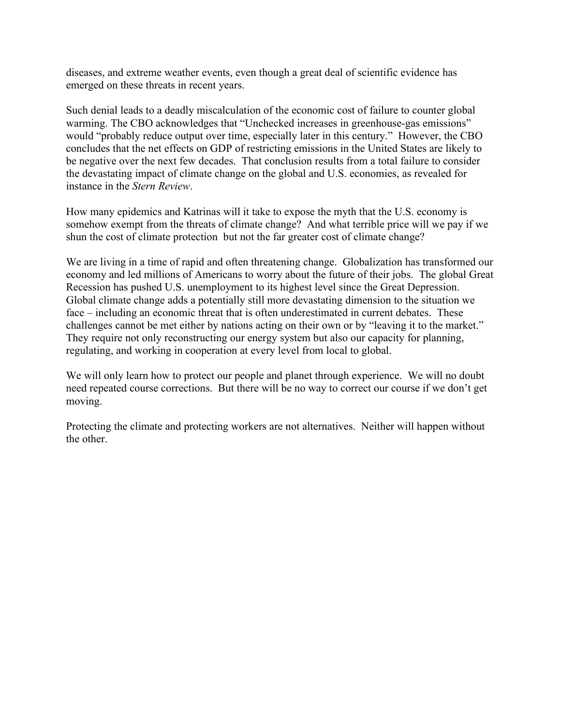diseases, and extreme weather events, even though a great deal of scientific evidence has emerged on these threats in recent years.

Such denial leads to a deadly miscalculation of the economic cost of failure to counter global warming. The CBO acknowledges that "Unchecked increases in greenhouse-gas emissions" would "probably reduce output over time, especially later in this century." However, the CBO concludes that the net effects on GDP of restricting emissions in the United States are likely to be negative over the next few decades. That conclusion results from a total failure to consider the devastating impact of climate change on the global and U.S. economies, as revealed for instance in the *Stern Review*.

How many epidemics and Katrinas will it take to expose the myth that the U.S. economy is somehow exempt from the threats of climate change? And what terrible price will we pay if we shun the cost of climate protection but not the far greater cost of climate change?

We are living in a time of rapid and often threatening change. Globalization has transformed our economy and led millions of Americans to worry about the future of their jobs. The global Great Recession has pushed U.S. unemployment to its highest level since the Great Depression. Global climate change adds a potentially still more devastating dimension to the situation we face – including an economic threat that is often underestimated in current debates. These challenges cannot be met either by nations acting on their own or by "leaving it to the market." They require not only reconstructing our energy system but also our capacity for planning, regulating, and working in cooperation at every level from local to global.

We will only learn how to protect our people and planet through experience. We will no doubt need repeated course corrections. But there will be no way to correct our course if we don't get moving.

Protecting the climate and protecting workers are not alternatives. Neither will happen without the other.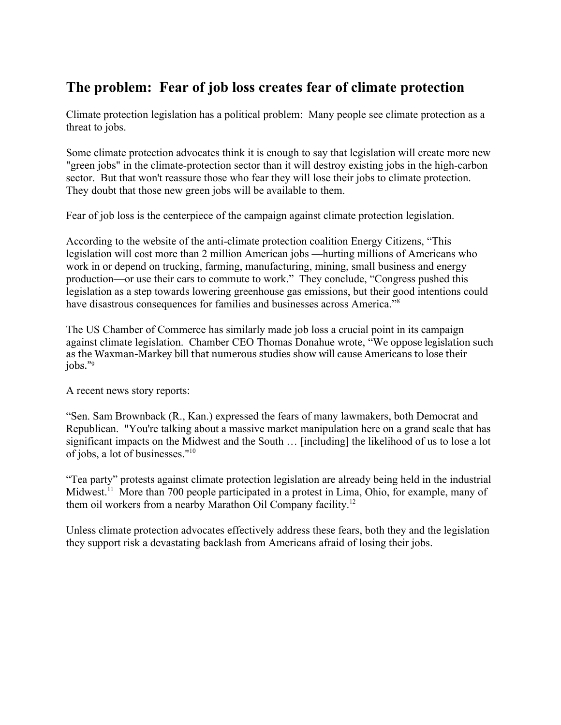## **The problem: Fear of job loss creates fear of climate protection**

Climate protection legislation has a political problem: Many people see climate protection as a threat to jobs.

Some climate protection advocates think it is enough to say that legislation will create more new "green jobs" in the climate-protection sector than it will destroy existing jobs in the high-carbon sector. But that won't reassure those who fear they will lose their jobs to climate protection. They doubt that those new green jobs will be available to them.

Fear of job loss is the centerpiece of the campaign against climate protection legislation.

According to the website of the anti-climate protection coalition Energy Citizens, "This legislation will [cost more than 2 million American jobs](http://accf.org/publications/126/accf-nam-study) —hurting millions of Americans who work in or depend on trucking, farming, manufacturing, mining, small business and energy production—or use their cars to commute to work." They conclude, "Congress pushed this legislation as a step towards lowering greenhouse gas emissions, but their good intentions could have disastrous consequences for families and businesses across America."[8](#page-19-7)

The US Chamber of Commerce has similarly made job loss a crucial point in its campaign against climate legislation. Chamber CEO Thomas Donahue wrote, "We oppose legislation such as the Waxman-Markey bill that numerous studies show will cause Americans to lose their jobs."[9](#page-19-8)

A recent news story reports:

"Sen. Sam Brownback (R., Kan.) expressed the fears of many lawmakers, both Democrat and Republican. "You're talking about a massive market manipulation here on a grand scale that has significant impacts on the Midwest and the South … [including] the likelihood of us to lose a lot of jobs, a lot of businesses."[10](#page-19-9)

"Tea party" protests against climate protection legislation are already being held in the industrial Midwest.<sup>[11](#page-19-10)</sup> More than 700 people participated in a protest in Lima, Ohio, for example, many of them oil workers from a nearby Marathon Oil Company facility.[12](#page-19-11)

Unless climate protection advocates effectively address these fears, both they and the legislation they support risk a devastating backlash from Americans afraid of losing their jobs.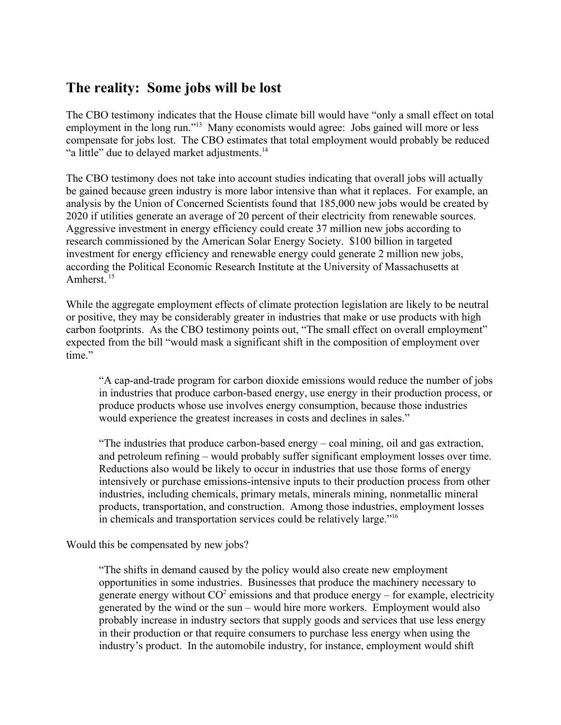### **The reality: Some jobs will be lost**

The CBO testimony indicates that the House climate bill would have "only a small effect on total employment in the long run."<sup>[13](#page-19-12)</sup> Many economists would agree: Jobs gained will more or less compensate for jobs lost. The CBO estimates that total employment would probably be reduced "a little" due to delayed market adjustments.<sup>[14](#page-19-13)</sup>

The CBO testimony does not take into account studies indicating that overall jobs will actually be gained because green industry is more labor intensive than what it replaces. For example, an analysis by the Union of Concerned Scientists found that 185,000 new jobs would be created by 2020 if utilities generate an average of 20 percent of their electricity from renewable sources. Aggressive investment in energy efficiency could create 37 million new jobs according to research commissioned by the American Solar Energy Society. \$100 billion in targeted investment for energy efficiency and renewable energy could generate 2 million new jobs, according the Political Economic Research Institute at the University of Massachusetts at Amherst.<sup>[15](#page-19-14)</sup>

While the aggregate employment effects of climate protection legislation are likely to be neutral or positive, they may be considerably greater in industries that make or use products with high carbon footprints. As the CBO testimony points out, "The small effect on overall employment" expected from the bill "would mask a significant shift in the composition of employment over time."

"A cap-and-trade program for carbon dioxide emissions would reduce the number of jobs in industries that produce carbon-based energy, use energy in their production process, or produce products whose use involves energy consumption, because those industries would experience the greatest increases in costs and declines in sales."

"The industries that produce carbon-based energy – coal mining, oil and gas extraction, and petroleum refining – would probably suffer significant employment losses over time. Reductions also would be likely to occur in industries that use those forms of energy intensively or purchase emissions-intensive inputs to their production process from other industries, including chemicals, primary metals, minerals mining, nonmetallic mineral products, transportation, and construction. Among those industries, employment losses in chemicals and transportation services could be relatively large."[16](#page-19-15)

Would this be compensated by new jobs?

"The shifts in demand caused by the policy would also create new employment opportunities in some industries. Businesses that produce the machinery necessary to generate energy without  $CO^2$  emissions and that produce energy – for example, electricity generated by the wind or the sun – would hire more workers. Employment would also probably increase in industry sectors that supply goods and services that use less energy in their production or that require consumers to purchase less energy when using the industry's product. In the automobile industry, for instance, employment would shift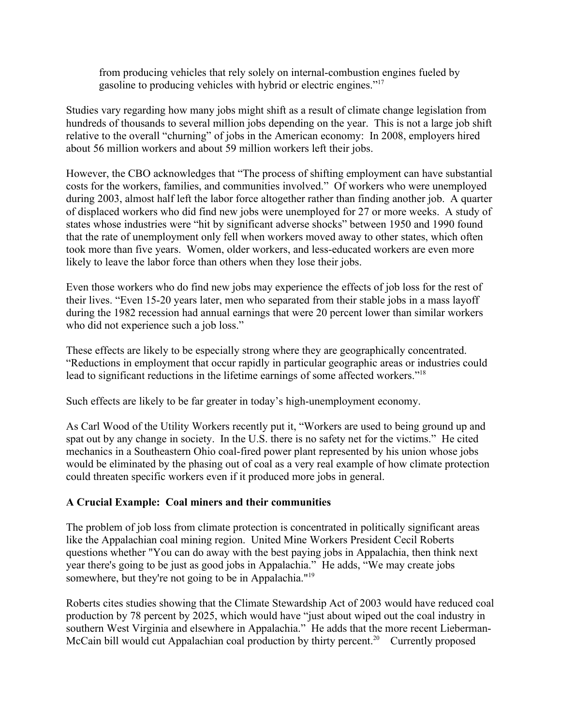from producing vehicles that rely solely on internal-combustion engines fueled by gasoline to producing vehicles with hybrid or electric engines."[17](#page-19-16)

Studies vary regarding how many jobs might shift as a result of climate change legislation from hundreds of thousands to several million jobs depending on the year. This is not a large job shift relative to the overall "churning" of jobs in the American economy: In 2008, employers hired about 56 million workers and about 59 million workers left their jobs.

However, the CBO acknowledges that "The process of shifting employment can have substantial costs for the workers, families, and communities involved." Of workers who were unemployed during 2003, almost half left the labor force altogether rather than finding another job. A quarter of displaced workers who did find new jobs were unemployed for 27 or more weeks. A study of states whose industries were "hit by significant adverse shocks" between 1950 and 1990 found that the rate of unemployment only fell when workers moved away to other states, which often took more than five years. Women, older workers, and less-educated workers are even more likely to leave the labor force than others when they lose their jobs.

Even those workers who do find new jobs may experience the effects of job loss for the rest of their lives. "Even 15-20 years later, men who separated from their stable jobs in a mass layoff during the 1982 recession had annual earnings that were 20 percent lower than similar workers who did not experience such a job loss."

These effects are likely to be especially strong where they are geographically concentrated. "Reductions in employment that occur rapidly in particular geographic areas or industries could lead to significant reductions in the lifetime earnings of some affected workers."[18](#page-19-17)

Such effects are likely to be far greater in today's high-unemployment economy.

As Carl Wood of the Utility Workers recently put it, "Workers are used to being ground up and spat out by any change in society. In the U.S. there is no safety net for the victims." He cited mechanics in a Southeastern Ohio coal-fired power plant represented by his union whose jobs would be eliminated by the phasing out of coal as a very real example of how climate protection could threaten specific workers even if it produced more jobs in general.

### **A Crucial Example: Coal miners and their communities**

The problem of job loss from climate protection is concentrated in politically significant areas like the Appalachian coal mining region. United Mine Workers President Cecil Roberts questions whether "You can do away with the best paying jobs in Appalachia, then think next year there's going to be just as good jobs in Appalachia." He adds, "We may create jobs somewhere, but they're not going to be in Appalachia."<sup>[19](#page-19-18)</sup>

Roberts cites studies showing that the Climate Stewardship Act of 2003 would have reduced coal production by 78 percent by 2025, which would have "just about wiped out the coal industry in southern West Virginia and elsewhere in Appalachia." He adds that the more recent Lieberman-McCain bill would cut Appalachian coal production by thirty percent.<sup>[20](#page-19-19)</sup> Currently proposed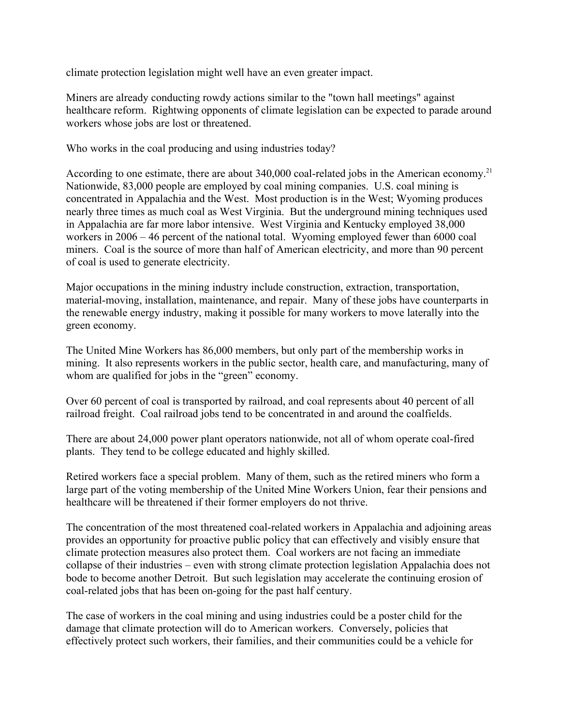climate protection legislation might well have an even greater impact.

Miners are already conducting rowdy actions similar to the "town hall meetings" against healthcare reform. Rightwing opponents of climate legislation can be expected to parade around workers whose jobs are lost or threatened.

Who works in the coal producing and using industries today?

According to one estimate, there are about 340,000 coal-related jobs in the American economy.<sup>[21](#page-19-20)</sup> Nationwide, 83,000 people are employed by coal mining companies. U.S. coal mining is concentrated in Appalachia and the West. Most production is in the West; Wyoming produces nearly three times as much coal as West Virginia. But the underground mining techniques used in Appalachia are far more labor intensive. West Virginia and Kentucky employed 38,000 workers in 2006 – 46 percent of the national total. Wyoming employed fewer than 6000 coal miners. Coal is the source of more than half of American electricity, and more than 90 percent of coal is used to generate electricity.

Major occupations in the mining industry include construction, extraction, transportation, material-moving, installation, maintenance, and repair. Many of these jobs have counterparts in the renewable energy industry, making it possible for many workers to move laterally into the green economy.

The United Mine Workers has 86,000 members, but only part of the membership works in mining. It also represents workers in the public sector, health care, and manufacturing, many of whom are qualified for jobs in the "green" economy.

Over 60 percent of coal is transported by railroad, and coal represents about 40 percent of all railroad freight. Coal railroad jobs tend to be concentrated in and around the coalfields.

There are about 24,000 power plant operators nationwide, not all of whom operate coal-fired plants. They tend to be college educated and highly skilled.

Retired workers face a special problem. Many of them, such as the retired miners who form a large part of the voting membership of the United Mine Workers Union, fear their pensions and healthcare will be threatened if their former employers do not thrive.

The concentration of the most threatened coal-related workers in Appalachia and adjoining areas provides an opportunity for proactive public policy that can effectively and visibly ensure that climate protection measures also protect them. Coal workers are not facing an immediate collapse of their industries – even with strong climate protection legislation Appalachia does not bode to become another Detroit. But such legislation may accelerate the continuing erosion of coal-related jobs that has been on-going for the past half century.

The case of workers in the coal mining and using industries could be a poster child for the damage that climate protection will do to American workers. Conversely, policies that effectively protect such workers, their families, and their communities could be a vehicle for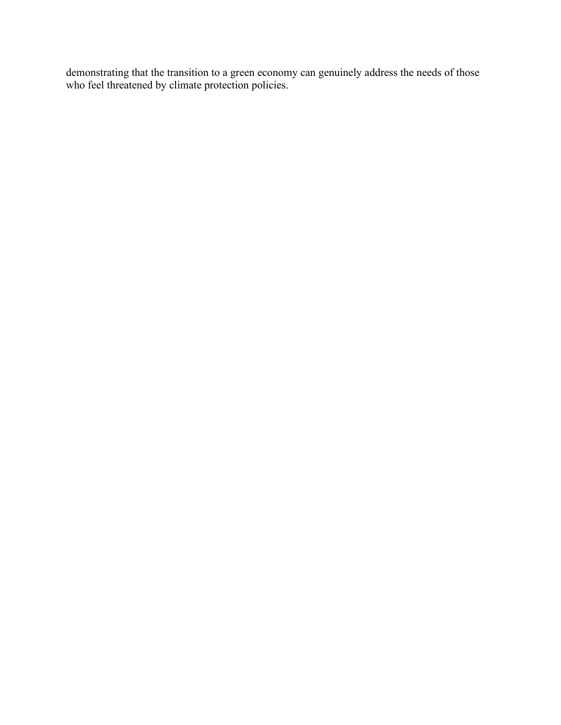demonstrating that the transition to a green economy can genuinely address the needs of those who feel threatened by climate protection policies.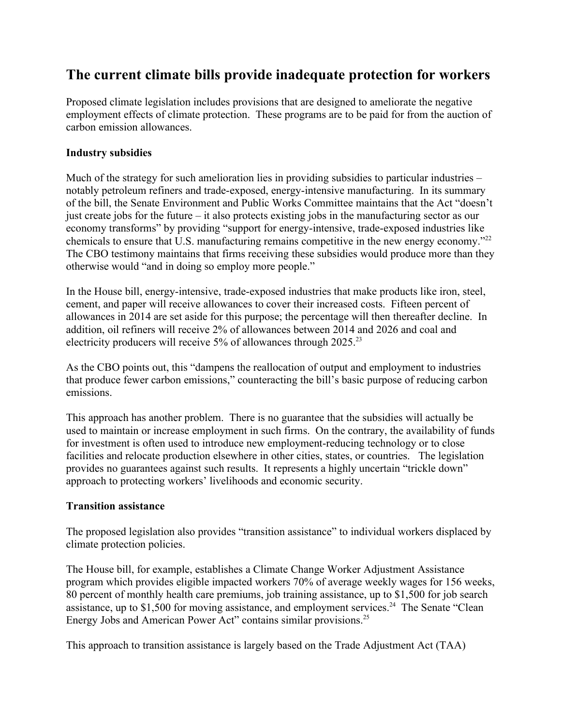### **The current climate bills provide inadequate protection for workers**

Proposed climate legislation includes provisions that are designed to ameliorate the negative employment effects of climate protection. These programs are to be paid for from the auction of carbon emission allowances.

### **Industry subsidies**

Much of the strategy for such amelioration lies in providing subsidies to particular industries – notably petroleum refiners and trade-exposed, energy-intensive manufacturing. In its summary of the bill, the Senate Environment and Public Works Committee maintains that the Act "doesn't just create jobs for the future – it also protects existing jobs in the manufacturing sector as our economy transforms" by providing "support for energy-intensive, trade-exposed industries like chemicals to ensure that U.S. manufacturing remains competitive in the new energy economy."[22](#page-19-21) The CBO testimony maintains that firms receiving these subsidies would produce more than they otherwise would "and in doing so employ more people."

In the House bill, energy-intensive, trade-exposed industries that make products like iron, steel, cement, and paper will receive allowances to cover their increased costs. Fifteen percent of allowances in 2014 are set aside for this purpose; the percentage will then thereafter decline. In addition, oil refiners will receive 2% of allowances between 2014 and 2026 and coal and electricity producers will receive 5% of allowances through 2025.<sup>[23](#page-19-22)</sup>

As the CBO points out, this "dampens the reallocation of output and employment to industries that produce fewer carbon emissions," counteracting the bill's basic purpose of reducing carbon emissions.

This approach has another problem. There is no guarantee that the subsidies will actually be used to maintain or increase employment in such firms. On the contrary, the availability of funds for investment is often used to introduce new employment-reducing technology or to close facilities and relocate production elsewhere in other cities, states, or countries. The legislation provides no guarantees against such results. It represents a highly uncertain "trickle down" approach to protecting workers' livelihoods and economic security.

#### **Transition assistance**

The proposed legislation also provides "transition assistance" to individual workers displaced by climate protection policies.

The House bill, for example, establishes a Climate Change Worker Adjustment Assistance program which provides eligible impacted workers 70% of average weekly wages for 156 weeks, 80 percent of monthly health care premiums, job training assistance, up to \$1,500 for job search assistance, up to \$1,500 for moving assistance, and employment services.<sup>[24](#page-19-23)</sup> The Senate "Clean" Energy Jobs and American Power Act" contains similar provisions.<sup>[25](#page-19-24)</sup>

This approach to transition assistance is largely based on the Trade Adjustment Act (TAA)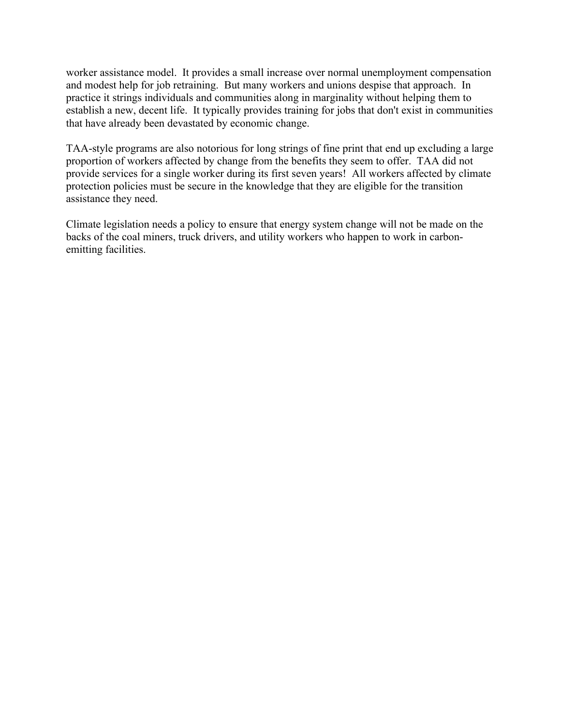worker assistance model. It provides a small increase over normal unemployment compensation and modest help for job retraining. But many workers and unions despise that approach. In practice it strings individuals and communities along in marginality without helping them to establish a new, decent life. It typically provides training for jobs that don't exist in communities that have already been devastated by economic change.

TAA-style programs are also notorious for long strings of fine print that end up excluding a large proportion of workers affected by change from the benefits they seem to offer. TAA did not provide services for a single worker during its first seven years! All workers affected by climate protection policies must be secure in the knowledge that they are eligible for the transition assistance they need.

Climate legislation needs a policy to ensure that energy system change will not be made on the backs of the coal miners, truck drivers, and utility workers who happen to work in carbonemitting facilities.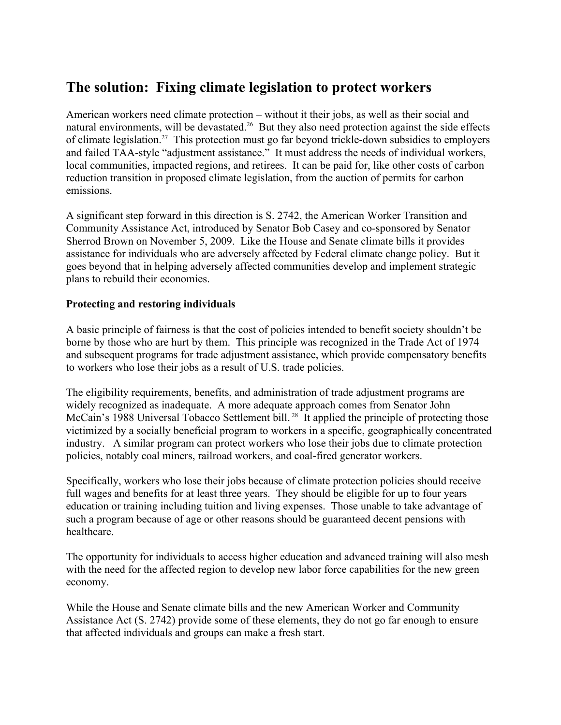### **The solution: Fixing climate legislation to protect workers**

American workers need climate protection – without it their jobs, as well as their social and natural environments, will be devastated.<sup>[26](#page-19-25)</sup> But they also need protection against the side effects of climate legislation.[27](#page-19-26) This protection must go far beyond trickle-down subsidies to employers and failed TAA-style "adjustment assistance." It must address the needs of individual workers, local communities, impacted regions, and retirees. It can be paid for, like other costs of carbon reduction transition in proposed climate legislation, from the auction of permits for carbon emissions.

A significant step forward in this direction is S. 2742, the American Worker Transition and Community Assistance Act, introduced by Senator Bob Casey and co-sponsored by Senator Sherrod Brown on November 5, 2009. Like the House and Senate climate bills it provides assistance for individuals who are adversely affected by Federal climate change policy. But it goes beyond that in helping adversely affected communities develop and implement strategic plans to rebuild their economies.

### **Protecting and restoring individuals**

A basic principle of fairness is that the cost of policies intended to benefit society shouldn't be borne by those who are hurt by them. This principle was recognized in the Trade Act of 1974 and subsequent programs for trade adjustment assistance, which provide compensatory benefits to workers who lose their jobs as a result of U.S. trade policies.

The eligibility requirements, benefits, and administration of trade adjustment programs are widely recognized as inadequate. A more adequate approach comes from Senator John McCain's 1988 Universal Tobacco Settlement bill.<sup>[28](#page-19-27)</sup> It applied the principle of protecting those victimized by a socially beneficial program to workers in a specific, geographically concentrated industry. A similar program can protect workers who lose their jobs due to climate protection policies, notably coal miners, railroad workers, and coal-fired generator workers.

Specifically, workers who lose their jobs because of climate protection policies should receive full wages and benefits for at least three years. They should be eligible for up to four years education or training including tuition and living expenses. Those unable to take advantage of such a program because of age or other reasons should be guaranteed decent pensions with healthcare.

The opportunity for individuals to access higher education and advanced training will also mesh with the need for the affected region to develop new labor force capabilities for the new green economy.

While the House and Senate climate bills and the new American Worker and Community Assistance Act (S. 2742) provide some of these elements, they do not go far enough to ensure that affected individuals and groups can make a fresh start.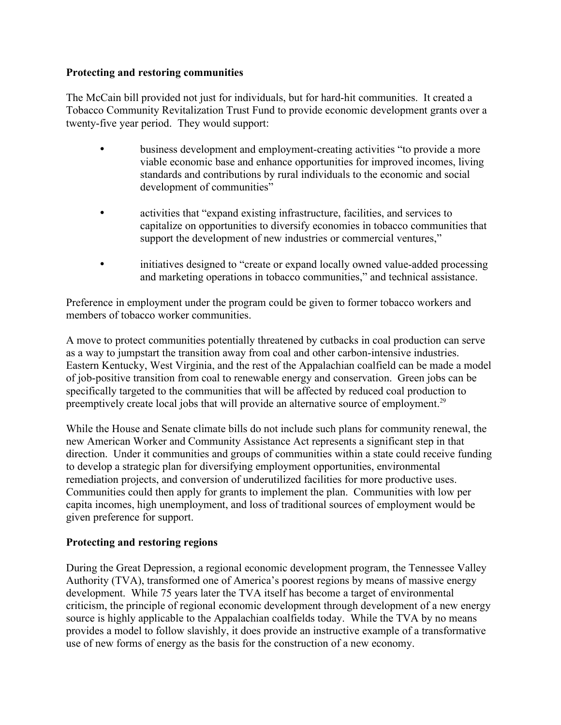### **Protecting and restoring communities**

The McCain bill provided not just for individuals, but for hard-hit communities. It created a Tobacco Community Revitalization Trust Fund to provide economic development grants over a twenty-five year period. They would support:

- business development and employment-creating activities "to provide a more viable economic base and enhance opportunities for improved incomes, living standards and contributions by rural individuals to the economic and social development of communities"
- activities that "expand existing infrastructure, facilities, and services to capitalize on opportunities to diversify economies in tobacco communities that support the development of new industries or commercial ventures,"
- initiatives designed to "create or expand locally owned value-added processing and marketing operations in tobacco communities," and technical assistance.

Preference in employment under the program could be given to former tobacco workers and members of tobacco worker communities.

A move to protect communities potentially threatened by cutbacks in coal production can serve as a way to jumpstart the transition away from coal and other carbon-intensive industries. Eastern Kentucky, West Virginia, and the rest of the Appalachian coalfield can be made a model of job-positive transition from coal to renewable energy and conservation. Green jobs can be specifically targeted to the communities that will be affected by reduced coal production to preemptively create local jobs that will provide an alternative source of employment.<sup>[29](#page-20-0)</sup>

While the House and Senate climate bills do not include such plans for community renewal, the new American Worker and Community Assistance Act represents a significant step in that direction. Under it communities and groups of communities within a state could receive funding to develop a strategic plan for diversifying employment opportunities, environmental remediation projects, and conversion of underutilized facilities for more productive uses. Communities could then apply for grants to implement the plan. Communities with low per capita incomes, high unemployment, and loss of traditional sources of employment would be given preference for support.

### **Protecting and restoring regions**

During the Great Depression, a regional economic development program, the Tennessee Valley Authority (TVA), transformed one of America's poorest regions by means of massive energy development. While 75 years later the TVA itself has become a target of environmental criticism, the principle of regional economic development through development of a new energy source is highly applicable to the Appalachian coalfields today. While the TVA by no means provides a model to follow slavishly, it does provide an instructive example of a transformative use of new forms of energy as the basis for the construction of a new economy.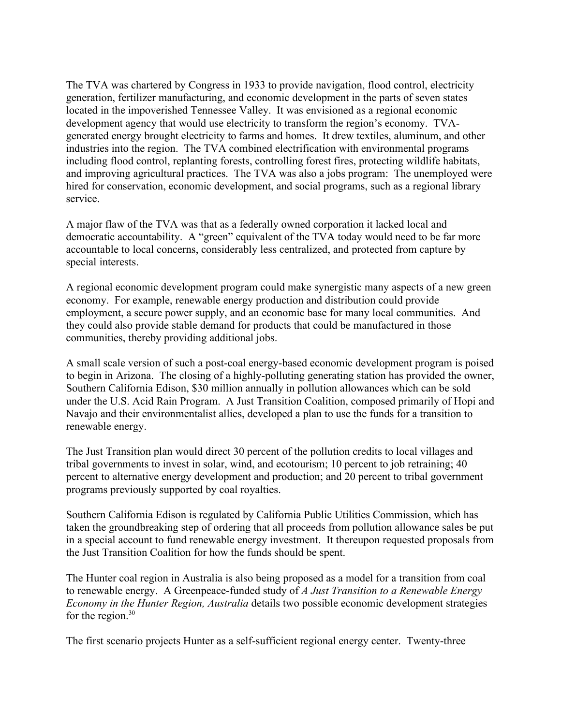The TVA was chartered by Congress in 1933 to provide navigation, flood control, electricity generation, fertilizer manufacturing, and economic development in the parts of seven states located in the impoverished Tennessee Valley. It was envisioned as a regional economic development agency that would use electricity to transform the region's economy. TVAgenerated energy brought electricity to farms and homes. It drew textiles, aluminum, and other industries into the region. The TVA combined electrification with environmental programs including flood control, replanting forests, controlling forest fires, protecting wildlife habitats, and improving agricultural practices. The TVA was also a jobs program: The unemployed were hired for conservation, economic development, and social programs, such as a regional library service.

A major flaw of the TVA was that as a federally owned corporation it lacked local and democratic accountability. A "green" equivalent of the TVA today would need to be far more accountable to local concerns, considerably less centralized, and protected from capture by special interests.

A regional economic development program could make synergistic many aspects of a new green economy. For example, renewable energy production and distribution could provide employment, a secure power supply, and an economic base for many local communities. And they could also provide stable demand for products that could be manufactured in those communities, thereby providing additional jobs.

A small scale version of such a post-coal energy-based economic development program is poised to begin in Arizona. The closing of a highly-polluting generating station has provided the owner, Southern California Edison, \$30 million annually in pollution allowances which can be sold under the U.S. Acid Rain Program. A Just Transition Coalition, composed primarily of Hopi and Navajo and their environmentalist allies, developed a plan to use the funds for a transition to renewable energy.

The Just Transition plan would direct 30 percent of the pollution credits to local villages and tribal governments to invest in solar, wind, and ecotourism; 10 percent to job retraining; 40 percent to alternative energy development and production; and 20 percent to tribal government programs previously supported by coal royalties.

Southern California Edison is regulated by California Public Utilities Commission, which has taken the groundbreaking step of ordering that all proceeds from pollution allowance sales be put in a special account to fund renewable energy investment. It thereupon requested proposals from the Just Transition Coalition for how the funds should be spent.

The Hunter coal region in Australia is also being proposed as a model for a transition from coal to renewable energy. A Greenpeace-funded study of *A Just Transition to a Renewable Energy Economy in the Hunter Region, Australia* details two possible economic development strategies for the region. $30$ 

The first scenario projects Hunter as a self-sufficient regional energy center. Twenty-three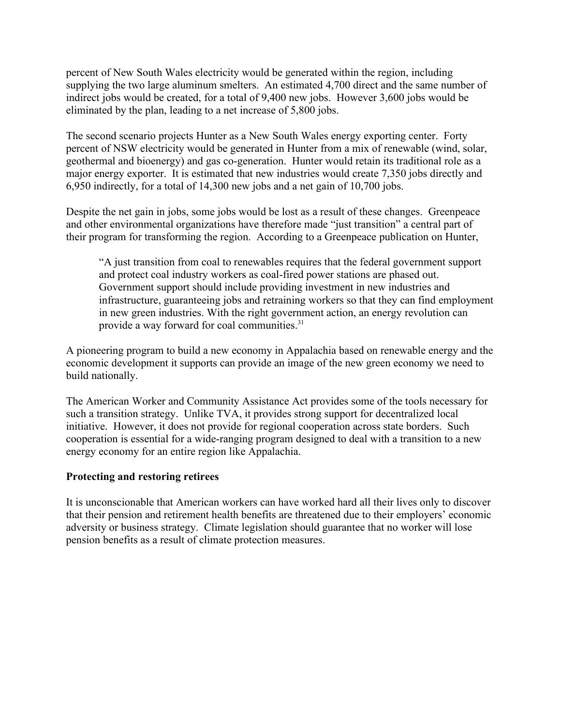percent of New South Wales electricity would be generated within the region, including supplying the two large aluminum smelters. An estimated 4,700 direct and the same number of indirect jobs would be created, for a total of 9,400 new jobs. However 3,600 jobs would be eliminated by the plan, leading to a net increase of 5,800 jobs.

The second scenario projects Hunter as a New South Wales energy exporting center. Forty percent of NSW electricity would be generated in Hunter from a mix of renewable (wind, solar, geothermal and bioenergy) and gas co-generation. Hunter would retain its traditional role as a major energy exporter. It is estimated that new industries would create 7,350 jobs directly and 6,950 indirectly, for a total of 14,300 new jobs and a net gain of 10,700 jobs.

Despite the net gain in jobs, some jobs would be lost as a result of these changes. Greenpeace and other environmental organizations have therefore made "just transition" a central part of their program for transforming the region. According to a Greenpeace publication on Hunter,

"A just transition from coal to renewables requires that the federal government support and protect coal industry workers as coal-fired power stations are phased out. Government support should include providing investment in new industries and infrastructure, guaranteeing jobs and retraining workers so that they can find employment in new green industries. With the right government action, an energy revolution can provide a way forward for coal communities.<sup>[31](#page-20-2)</sup>

A pioneering program to build a new economy in Appalachia based on renewable energy and the economic development it supports can provide an image of the new green economy we need to build nationally.

The American Worker and Community Assistance Act provides some of the tools necessary for such a transition strategy. Unlike TVA, it provides strong support for decentralized local initiative. However, it does not provide for regional cooperation across state borders. Such cooperation is essential for a wide-ranging program designed to deal with a transition to a new energy economy for an entire region like Appalachia.

#### **Protecting and restoring retirees**

It is unconscionable that American workers can have worked hard all their lives only to discover that their pension and retirement health benefits are threatened due to their employers' economic adversity or business strategy. Climate legislation should guarantee that no worker will lose pension benefits as a result of climate protection measures.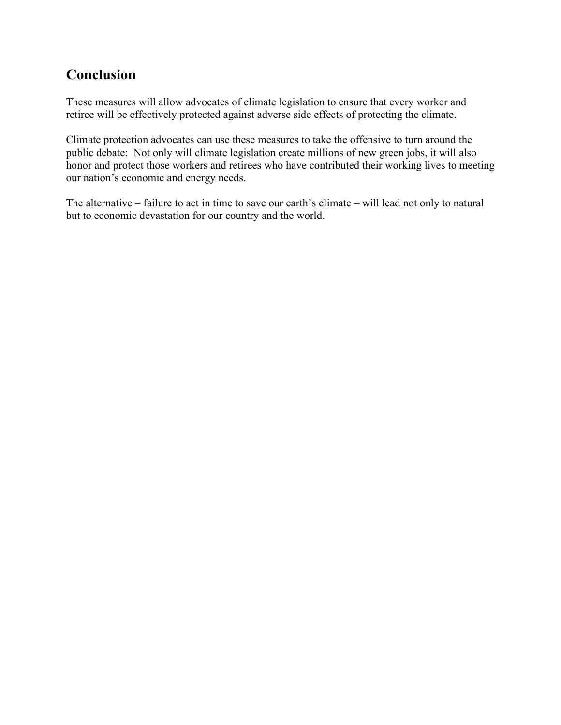# **Conclusion**

These measures will allow advocates of climate legislation to ensure that every worker and retiree will be effectively protected against adverse side effects of protecting the climate.

Climate protection advocates can use these measures to take the offensive to turn around the public debate: Not only will climate legislation create millions of new green jobs, it will also honor and protect those workers and retirees who have contributed their working lives to meeting our nation's economic and energy needs.

The alternative – failure to act in time to save our earth's climate – will lead not only to natural but to economic devastation for our country and the world.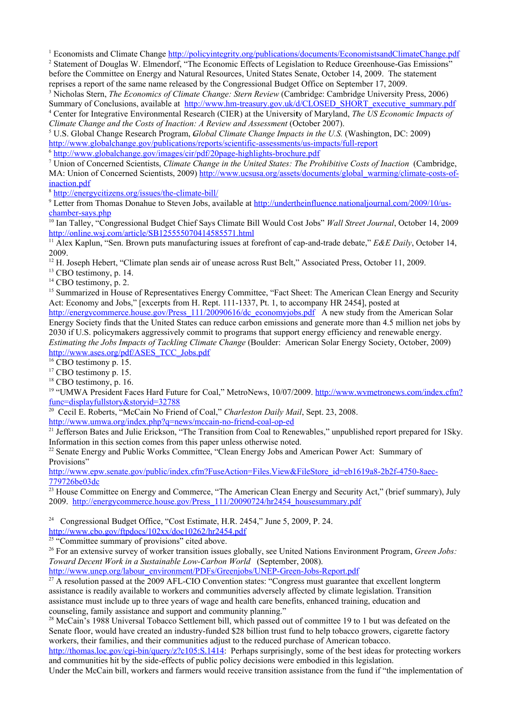<span id="page-19-2"></span><span id="page-19-1"></span><span id="page-19-0"></span><sup>1</sup> Economists and Climate Change<http://policyintegrity.org/publications/documents/EconomistsandClimateChange.pdf>

<span id="page-19-3"></span><sup>2</sup> Statement of Douglas W. Elmendorf, "The Economic Effects of Legislation to Reduce Greenhouse-Gas Emissions" before the Committee on Energy and Natural Resources, United States Senate, October 14, 2009. The statement reprises a report of the same name released by the Congressional Budget Office on September 17, 2009.

<span id="page-19-5"></span><span id="page-19-4"></span>3 Nicholas Stern, *The Economics of Climate Change: Stern Review* (Cambridge: Cambridge University Press, 2006) Summary of Conclusions, available at [http://www.hm-treasury.gov.uk/d/CLOSED\\_SHORT\\_executive\\_summary.pdf](http://www.hm-treasury.gov.uk/d/CLOSED_SHORT_executive_summary.pdf) 4 Center for Integrative Environmental Research (CIER) at the Universi**t**y of Maryland, *The US Economic Impacts of Climate Change and the Costs of Inaction: A Review and Assessment (October 2007).* 

<span id="page-19-6"></span><sup>5</sup> U.S. Global Change Research Program, *Global Climate Change Impacts in the U.S.* (Washington, DC: 2009) <http://www.globalchange.gov/publications/reports/scientific-assessments/us-impacts/full-report>

<span id="page-19-7"></span><sup>6</sup> <http://www.globalchange.gov/images/cir/pdf/20page-highlights-brochure.pdf>

<span id="page-19-8"></span>7 Union of Concerned Scientists, *Climate Change in the United States: The Prohibitive Costs of Inaction* (Cambridge, MA: Union of Concerned Scientists, 2009) [http://www.ucsusa.org/assets/documents/global\\_warming/climate-costs-of](http://www.ucsusa.org/assets/documents/global_warming/climate-costs-of-inaction.pdf)[inaction.pdf](http://www.ucsusa.org/assets/documents/global_warming/climate-costs-of-inaction.pdf)

<span id="page-19-9"></span>8 <http://energycitizens.org/issues/the-climate-bill/>

<span id="page-19-10"></span><sup>9</sup> Letter from Thomas Donahue to Steven Jobs, available at [http://undertheinfluence.nationaljournal.com/2009/10/us](http://undertheinfluence.nationaljournal.com/2009/10/us-chamber-says.php)[chamber-says.php](http://undertheinfluence.nationaljournal.com/2009/10/us-chamber-says.php)

<span id="page-19-12"></span><span id="page-19-11"></span><sup>10</sup> Ian Talley, "Congressional Budget Chief Says Climate Bill Would Cost Jobs" *Wall Street Journal*, October 14, 2009 <http://online.wsj.com/article/SB125555070414585571.html>

<span id="page-19-14"></span><span id="page-19-13"></span><sup>11</sup> Alex Kaplun, "Sen. Brown puts manufacturing issues at forefront of cap-and-trade debate," *E&E Daily*, October 14, 2009.

<sup>12</sup> H. Joseph Hebert, "Climate plan sends air of unease across Rust Belt," Associated Press, October 11, 2009.

<sup>13</sup> CBO testimony, p. 14.

 $14$  CBO testimony, p. 2.

<sup>15</sup> Summarized in House of Representatives Energy Committee, "Fact Sheet: The American Clean Energy and Security Act: Economy and Jobs," [excerpts from H. Rept. 111-1337, Pt. 1, to accompany HR 2454], posted at

<span id="page-19-16"></span><span id="page-19-15"></span>[http://energycommerce.house.gov/Press\\_111/20090616/dc\\_economyjobs.pdf](http://energycommerce.house.gov/Press_111/20090616/dc_economyjobs.pdf) A new study from the American Solar Energy Society finds that the United States can reduce carbon emissions and generate more than 4.5 million net jobs by 2030 if U.S. policymakers aggressively commit to programs that support energy efficiency and renewable energy. *Estimating the Jobs Impacts of Tackling Climate Change* (Boulder: American Solar Energy Society, October, 2009) http://www.ases.org/pdf/ASES\_TCC\_Jobs.ndf

<span id="page-19-18"></span><span id="page-19-17"></span><sup>16</sup> CBO testimony p. 15.

<span id="page-19-19"></span><sup>17</sup> CBO testimony p. 15.

<sup>18</sup> CBO testimony, p. 16.

<span id="page-19-20"></span><sup>19</sup> "UMWA President Faces Hard Future for Coal," MetroNews, 10/07/2009. http://www.wymetronews.com/index.cfm? [func=displayfullstory&storyid=32788](http://www.wvmetronews.com/index.cfm?func=displayfullstory&storyid=32788) 

<span id="page-19-21"></span><sup>20</sup> Cecil E. Roberts, "McCain No Friend of Coal," *Charleston Daily Mail*, Sept. 23, 2008.

<http://www.umwa.org/index.php?q=news/mccain-no-friend-coal-op-ed>

 $^{21}$  Jefferson Bates and Julie Erickson, "The Transition from Coal to Renewables," unpublished report prepared for 1Sky. Information in this section comes from this paper unless otherwise noted.

<span id="page-19-22"></span><sup>22</sup> Senate Energy and Public Works Committee, "Clean Energy Jobs and American Power Act: Summary of Provisions"

<span id="page-19-23"></span>[http://www.epw.senate.gov/public/index.cfm?FuseAction=Files.View&FileStore\\_id=eb1619a8-2b2f-4750-8aec-](http://www.epw.senate.gov/public/index.cfm?FuseAction=Files.View&FileStore_id=eb1619a8-2b2f-4750-8aec-779726be03dc)[779726be03dc](http://www.epw.senate.gov/public/index.cfm?FuseAction=Files.View&FileStore_id=eb1619a8-2b2f-4750-8aec-779726be03dc)

<span id="page-19-24"></span><sup>23</sup> House Committee on Energy and Commerce, "The American Clean Energy and Security Act," (brief summary), July 2009. [http://energycommerce.house.gov/Press\\_111/20090724/hr2454\\_housesummary.pdf](http://energycommerce.house.gov/Press_111/20090724/hr2454_housesummary.pdf)

<span id="page-19-25"></span><sup>24</sup> Congressional Budget Office, "Cost Estimate, H.R. 2454," June 5, 2009, P. 24.

<http://www.cbo.gov/ftpdocs/102xx/doc10262/hr2454.pdf>

<span id="page-19-26"></span> $25 \cdot \text{°Commite}$  summary of provisions" cited above.

<sup>26</sup> For an extensive survey of worker transition issues globally, see United Nations Environment Program, *Green Jobs: Toward Decent Work in a Sustainable Low-Carbon World* (September, 2008).

[http://www.unep.org/labour\\_environment/PDFs/Greenjobs/UNEP-Green-Jobs-Report.pdf](http://www.unep.org/labour_environment/PDFs/Greenjobs/UNEP-Green-Jobs-Report.pdf)

<span id="page-19-27"></span> $^{27}$  A resolution passed at the 2009 AFL-CIO Convention states: "Congress must guarantee that excellent longterm assistance is readily available to workers and communities adversely affected by climate legislation. Transition assistance must include up to three years of wage and health care benefits, enhanced training, education and counseling, family assistance and support and community planning."

<sup>28</sup> McCain's 1988 Universal Tobacco Settlement bill, which passed out of committee 19 to 1 but was defeated on the Senate floor, would have created an industry-funded \$28 billion trust fund to help tobacco growers, cigarette factory workers, their families, and their communities adjust to the reduced purchase of American tobacco.

[http://thomas.loc.gov/cgi-bin/query/z?c105:S.1414:](http://thomas.loc.gov/cgi-bin/query/z?c105:S.1414) Perhaps surprisingly, some of the best ideas for protecting workers and communities hit by the side-effects of public policy decisions were embodied in this legislation.

Under the McCain bill, workers and farmers would receive transition assistance from the fund if "the implementation of